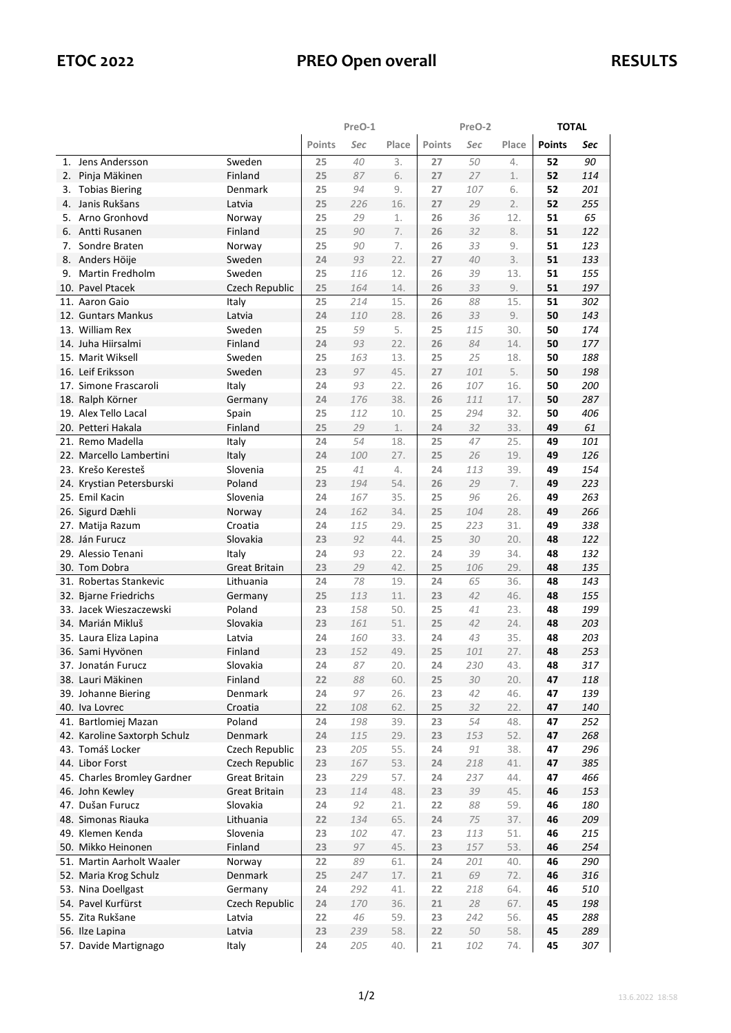|    |                              |                      | PreO-1 |     |       |        | PreO-2 |       |               | <b>TOTAL</b> |  |
|----|------------------------------|----------------------|--------|-----|-------|--------|--------|-------|---------------|--------------|--|
|    |                              |                      | Points | Sec | Place | Points | Sec    | Place | <b>Points</b> | Sec          |  |
| 1. | Jens Andersson               | Sweden               | 25     | 40  | 3.    | 27     | 50     | 4.    | 52            | 90           |  |
| 2. | Pinja Mäkinen                | Finland              | 25     | 87  | 6.    | 27     | 27     | 1.    | 52            | 114          |  |
| 3. | <b>Tobias Biering</b>        | Denmark              | 25     | 94  | 9.    | 27     | 107    | 6.    | 52            | 201          |  |
| 4. | Janis Rukšans                | Latvia               | 25     | 226 | 16.   | 27     | 29     | 2.    | 52            | 255          |  |
| 5. | Arno Gronhovd                | Norway               | 25     | 29  | 1.    | 26     | 36     | 12.   | 51            | 65           |  |
| 6. | Antti Rusanen                | Finland              | 25     | 90  | 7.    | 26     | 32     | 8.    | 51            | 122          |  |
| 7. | Sondre Braten                | Norway               | 25     | 90  | 7.    | 26     | 33     | 9.    | 51            | 123          |  |
| 8. | Anders Höije                 | Sweden               | 24     | 93  | 22.   | 27     | 40     | 3.    | 51            | 133          |  |
| 9. | Martin Fredholm              | Sweden               | 25     | 116 | 12.   | 26     | 39     | 13.   | 51            | 155          |  |
|    | 10. Pavel Ptacek             | Czech Republic       | 25     | 164 | 14.   | 26     | 33     | 9.    | 51            | 197          |  |
|    | 11. Aaron Gaio               | Italy                | 25     | 214 | 15.   | 26     | 88     | 15.   | 51            | 302          |  |
|    | 12. Guntars Mankus           | Latvia               | 24     | 110 | 28.   | 26     | 33     | 9.    | 50            | 143          |  |
|    | 13. William Rex              | Sweden               | 25     | 59  | 5.    | 25     | 115    | 30.   | 50            | 174          |  |
|    | 14. Juha Hiirsalmi           | Finland              | 24     | 93  | 22.   | 26     | 84     | 14.   | 50            | 177          |  |
|    | 15. Marit Wiksell            | Sweden               | 25     | 163 | 13.   | 25     | 25     | 18.   | 50            | 188          |  |
|    | 16. Leif Eriksson            | Sweden               | 23     | 97  | 45.   | 27     | 101    | 5.    | 50            | 198          |  |
|    | 17. Simone Frascaroli        | Italy                | 24     | 93  | 22.   | 26     | 107    | 16.   | 50            | 200          |  |
|    | 18. Ralph Körner             | Germany              | 24     | 176 | 38.   | 26     | 111    | 17.   | 50            | 287          |  |
|    | 19. Alex Tello Lacal         | Spain                | 25     | 112 | 10.   | 25     | 294    | 32.   | 50            | 406          |  |
|    | 20. Petteri Hakala           | Finland              | 25     | 29  | 1.    | 24     | 32     | 33.   | 49            | 61           |  |
|    | 21. Remo Madella             | Italy                | 24     | 54  | 18.   | 25     | 47     | 25.   | 49            | 101          |  |
|    | 22. Marcello Lambertini      | Italy                | 24     | 100 | 27.   | 25     | 26     | 19.   | 49            | 126          |  |
|    | 23. Krešo Keresteš           | Slovenia             | 25     | 41  | 4.    | 24     | 113    | 39.   | 49            | 154          |  |
|    | 24. Krystian Petersburski    | Poland               | 23     | 194 | 54.   | 26     | 29     | 7.    | 49            | 223          |  |
|    | 25. Emil Kacin               | Slovenia             | 24     | 167 | 35.   | 25     | 96     | 26.   | 49            | 263          |  |
|    | 26. Sigurd Dæhli             | Norway               | 24     | 162 | 34.   | 25     | 104    | 28.   | 49            | 266          |  |
|    | 27. Matija Razum             | Croatia              | 24     | 115 | 29.   | 25     | 223    | 31.   | 49            | 338          |  |
|    | 28. Ján Furucz               | Slovakia             | 23     | 92  | 44.   | 25     | 30     | 20.   | 48            | 122          |  |
|    | 29. Alessio Tenani           | Italy                | 24     | 93  | 22.   | 24     | 39     | 34.   | 48            | 132          |  |
|    | 30. Tom Dobra                | <b>Great Britain</b> | 23     | 29  | 42.   | 25     | 106    | 29.   | 48            | 135          |  |
|    | 31. Robertas Stankevic       | Lithuania            | 24     | 78  | 19.   | 24     | 65     | 36.   | 48            | 143          |  |
|    | 32. Bjarne Friedrichs        | Germany              | 25     | 113 | 11.   | 23     | 42     | 46.   | 48            | 155          |  |
|    | 33. Jacek Wieszaczewski      | Poland               | 23     | 158 | 50.   | 25     | 41     | 23.   | 48            | 199          |  |
|    | 34. Marián Mikluš            | Slovakia             | 23     | 161 | 51.   | 25     | 42     | 24.   | 48            | 203          |  |
|    | 35. Laura Eliza Lapina       | Latvia               | 24     | 160 | 33.   | 24     | 43     | 35.   | 48            | 203          |  |
|    | 36. Sami Hyvönen             | Finland              | 23     | 152 | 49.   | 25     | 101    | 27.   | 48            | 253          |  |
|    | 37. Jonatán Furucz           | Slovakia             | 24     | 87  | 20.   | 24     | 230    | 43.   | 48            | 317          |  |
|    | 38. Lauri Mäkinen            | Finland              | 22     | 88  | 60.   | 25     | 30     | 20.   | 47            | 118          |  |
|    | 39. Johanne Biering          | Denmark              | 24     | 97  | 26.   | 23     | 42     | 46.   | 47            | 139          |  |
|    | 40. Iva Lovrec               | Croatia              | 22     | 108 | 62.   | 25     | 32     | 22.   | 47            | 140          |  |
|    | 41. Bartlomiej Mazan         | Poland               | 24     | 198 | 39.   | 23     | 54     | 48.   | 47            | 252          |  |
|    | 42. Karoline Saxtorph Schulz | Denmark              | 24     | 115 | 29.   | 23     | 153    | 52.   | 47            | 268          |  |
|    | 43. Tomáš Locker             | Czech Republic       | 23     | 205 | 55.   | 24     | 91     | 38.   | 47            | 296          |  |
|    | 44. Libor Forst              | Czech Republic       | 23     | 167 | 53.   | 24     | 218    | 41.   | 47            | 385          |  |
|    | 45. Charles Bromley Gardner  | <b>Great Britain</b> | 23     | 229 | 57.   | 24     | 237    | 44.   | 47            | 466          |  |
|    | 46. John Kewley              | <b>Great Britain</b> | 23     | 114 | 48.   | 23     | 39     | 45.   | 46            | 153          |  |
|    | 47. Dušan Furucz             | Slovakia             | 24     | 92  | 21.   | 22     | 88     | 59.   | 46            | 180          |  |
|    | 48. Simonas Riauka           | Lithuania            | 22     | 134 | 65.   | 24     | 75     | 37.   | 46            | 209          |  |
|    | 49. Klemen Kenda             | Slovenia             | 23     | 102 | 47.   | 23     | 113    | 51.   | 46            | 215          |  |
|    | 50. Mikko Heinonen           | Finland              | 23     | 97  | 45.   | 23     | 157    | 53.   | 46            | 254          |  |
|    | 51. Martin Aarholt Waaler    | Norway               | 22     | 89  | 61.   | 24     | 201    | 40.   | 46            | 290          |  |
|    | 52. Maria Krog Schulz        | Denmark              | 25     | 247 | 17.   | 21     | 69     | 72.   | 46            | 316          |  |
|    | 53. Nina Doellgast           | Germany              | 24     | 292 | 41.   | 22     | 218    | 64.   | 46            | 510          |  |
|    | 54. Pavel Kurfürst           | Czech Republic       | 24     | 170 | 36.   | 21     | 28     | 67.   | 45            | 198          |  |
|    | 55. Zita Rukšane             | Latvia               | 22     | 46  | 59.   | 23     | 242    | 56.   | 45            | 288          |  |
|    | 56. Ilze Lapina              | Latvia               | 23     | 239 | 58.   | 22     | 50     | 58.   | 45            | 289          |  |
|    | 57. Davide Martignago        | Italy                | 24     | 205 | 40.   | 21     | 102    | 74.   | 45            | 307          |  |